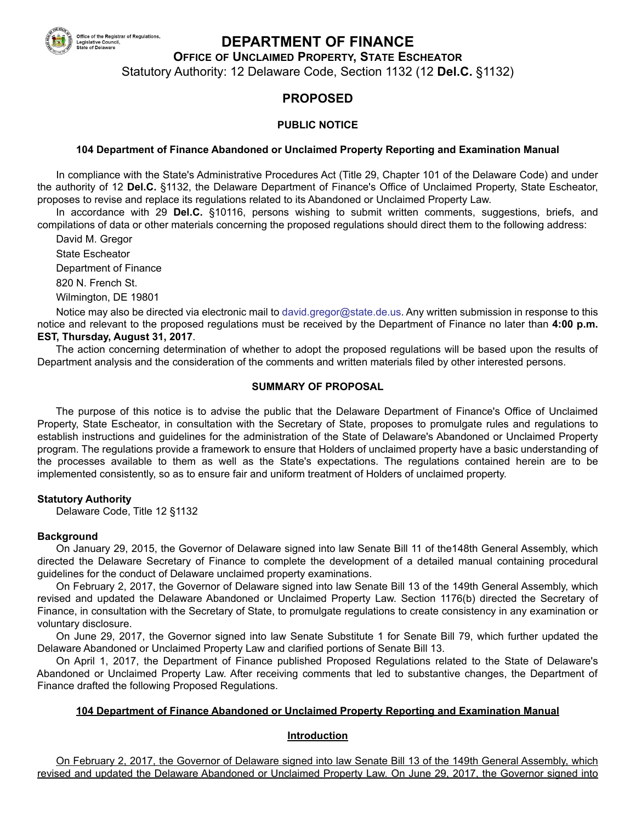

# **DEPARTMENT OF FINANCE**

**OFFICE OF UNCLAIMED PROPERTY, STATE ESCHEATOR**

Statutory Authority: 12 Delaware Code, Section 1132 (12 **Del.C.** §1132)

# **PROPOSED**

#### **PUBLIC NOTICE**

#### **104 Department of Finance Abandoned or Unclaimed Property Reporting and Examination Manual**

In compliance with the State's Administrative Procedures Act (Title 29, Chapter 101 of the Delaware Code) and under the authority of 12 **Del.C.** §1132, the Delaware Department of Finance's Office of Unclaimed Property, State Escheator, proposes to revise and replace its regulations related to its Abandoned or Unclaimed Property Law.

In accordance with 29 **Del.C.** §10116, persons wishing to submit written comments, suggestions, briefs, and compilations of data or other materials concerning the proposed regulations should direct them to the following address:

David M. Gregor State Escheator Department of Finance 820 N. French St. Wilmington, DE 19801

Notice may also be directed via electronic mail to [david.gregor@state.de.us](maito:david.gregor@state.de.us). Any written submission in response to this notice and relevant to the proposed regulations must be received by the Department of Finance no later than **4:00 p.m. EST, Thursday, August 31, 2017**.

The action concerning determination of whether to adopt the proposed regulations will be based upon the results of Department analysis and the consideration of the comments and written materials filed by other interested persons.

#### **SUMMARY OF PROPOSAL**

The purpose of this notice is to advise the public that the Delaware Department of Finance's Office of Unclaimed Property, State Escheator, in consultation with the Secretary of State, proposes to promulgate rules and regulations to establish instructions and guidelines for the administration of the State of Delaware's Abandoned or Unclaimed Property program. The regulations provide a framework to ensure that Holders of unclaimed property have a basic understanding of the processes available to them as well as the State's expectations. The regulations contained herein are to be implemented consistently, so as to ensure fair and uniform treatment of Holders of unclaimed property.

#### **Statutory Authority**

Delaware Code, Title 12 §1132

#### **Background**

On January 29, 2015, the Governor of Delaware signed into law Senate Bill 11 of the148th General Assembly, which directed the Delaware Secretary of Finance to complete the development of a detailed manual containing procedural guidelines for the conduct of Delaware unclaimed property examinations.

On February 2, 2017, the Governor of Delaware signed into law Senate Bill 13 of the 149th General Assembly, which revised and updated the Delaware Abandoned or Unclaimed Property Law. Section 1176(b) directed the Secretary of Finance, in consultation with the Secretary of State, to promulgate regulations to create consistency in any examination or voluntary disclosure.

On June 29, 2017, the Governor signed into law Senate Substitute 1 for Senate Bill 79, which further updated the Delaware Abandoned or Unclaimed Property Law and clarified portions of Senate Bill 13.

On April 1, 2017, the Department of Finance published Proposed Regulations related to the State of Delaware's Abandoned or Unclaimed Property Law. After receiving comments that led to substantive changes, the Department of Finance drafted the following Proposed Regulations.

#### **104 Department of Finance Abandoned or Unclaimed Property Reporting and Examination Manual**

#### **Introduction**

On February 2, 2017, the Governor of Delaware signed into law Senate Bill 13 of the 149th General Assembly, which revised and updated the Delaware Abandoned or Unclaimed Property Law. On June 29, 2017, the Governor signed into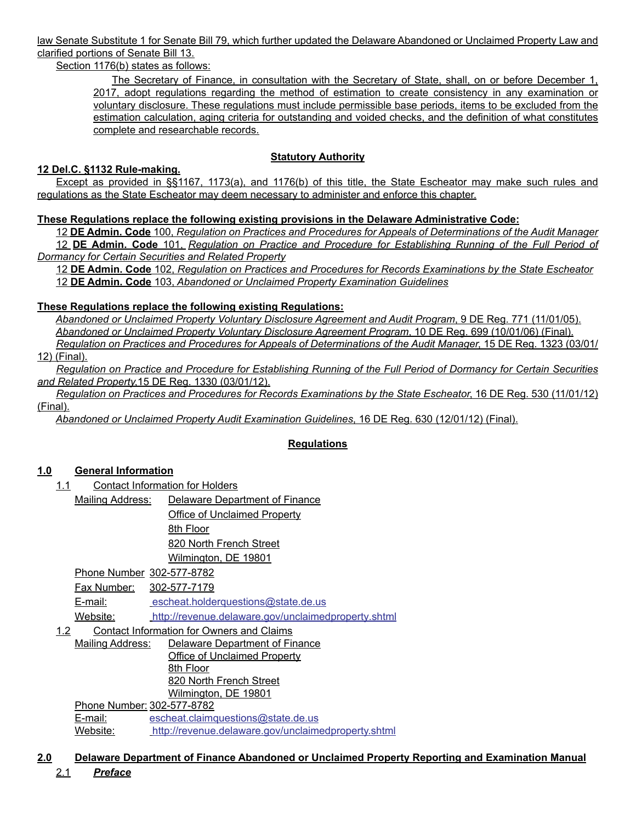law Senate Substitute 1 for Senate Bill 79, which further updated the Delaware Abandoned or Unclaimed Property Law and clarified portions of Senate Bill 13.

Section 1176(b) states as follows:

The Secretary of Finance, in consultation with the Secretary of State, shall, on or before December 1, 2017, adopt regulations regarding the method of estimation to create consistency in any examination or voluntary disclosure. These regulations must include permissible base periods, items to be excluded from the estimation calculation, aging criteria for outstanding and voided checks, and the definition of what constitutes complete and researchable records.

### **Statutory Authority**

#### **12 Del.C. §1132 Rule-making.**

Except as provided in §§1167, 1173(a), and 1176(b) of this title, the State Escheator may make such rules and regulations as the State Escheator may deem necessary to administer and enforce this chapter.

### **These Regulations replace the following existing provisions in the Delaware Administrative Code:**

12 **DE Admin. Code** 100, *Regulation on Practices and Procedures for Appeals of Determinations of the Audit Manager* 12 **DE Admin. Code** 101, *Regulation on Practice and Procedure for Establishing Running of the Full Period of Dormancy for Certain Securities and Related Property*

12 **DE Admin. Code** 102, *Regulation on Practices and Procedures for Records Examinations by the State Escheator* 12 **DE Admin. Code** 103, *Abandoned or Unclaimed Property Examination Guidelines*

#### **These Regulations replace the following existing Regulations:**

*Abandoned or Unclaimed Property Voluntary Disclosure Agreement and Audit Program*, 9 DE Reg. 771 (11/01/05). *Abandoned or Unclaimed Property Voluntary Disclosure Agreement Program*, 10 DE Reg. 699 (10/01/06) (Final). *Regulation on Practices and Procedures for Appeals of Determinations of the Audit Manager*, 15 DE Reg. 1323 (03/01/

12) (Final).

*Regulation on Practice and Procedure for Establishing Running of the Full Period of Dormancy for Certain Securities and Related Property*,15 DE Reg. 1330 (03/01/12).

*Regulation on Practices and Procedures for Records Examinations by the State Escheator*, 16 DE Reg. 530 (11/01/12) (Final).

*Abandoned or Unclaimed Property Audit Examination Guidelines*, 16 DE Reg. 630 (12/01/12) (Final).

## **Regulations**

## **1.0 General Information**

- 1.1 Contact Information for Holders
	- Mailing Address: Delaware Department of Finance Office of Unclaimed Property

8th Floor 820 North French Street

Wilmington, DE 19801

Phone Number 302-577-8782

Fax Number: 302-577-7179

E-mail: [escheat.holderquestions@state.de.us](mailto:escheat.holderquestions@state.de.us)

Website: <http://revenue.delaware.gov/unclaimedproperty.shtml>

#### 1.2 Contact Information for Owners and Claims

Mailing Address: Delaware Department of Finance Office of Unclaimed Property 8th Floor 820 North French Street Wilmington, DE 19801

Phone Number: 302-577-8782 E-mail: [escheat.claimquestions@state.de.us](mailto:escheat.claimquestions@state.de.us) Website: <http://revenue.delaware.gov/unclaimedproperty.shtml>

**2.0 Delaware Department of Finance Abandoned or Unclaimed Property Reporting and Examination Manual**

2.1 *Preface*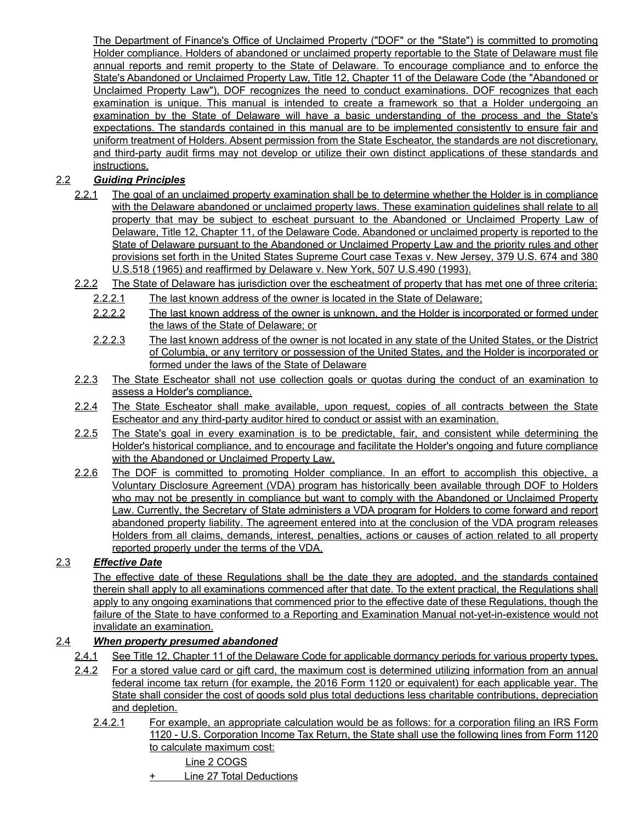The Department of Finance's Office of Unclaimed Property ("DOF" or the "State") is committed to promoting Holder compliance. Holders of abandoned or unclaimed property reportable to the State of Delaware must file annual reports and remit property to the State of Delaware. To encourage compliance and to enforce the State's Abandoned or Unclaimed Property Law, Title 12, Chapter 11 of the Delaware Code (the "Abandoned or Unclaimed Property Law"), DOF recognizes the need to conduct examinations. DOF recognizes that each examination is unique. This manual is intended to create a framework so that a Holder undergoing an examination by the State of Delaware will have a basic understanding of the process and the State's expectations. The standards contained in this manual are to be implemented consistently to ensure fair and uniform treatment of Holders. Absent permission from the State Escheator, the standards are not discretionary, and third-party audit firms may not develop or utilize their own distinct applications of these standards and instructions.

# 2.2 *Guiding Principles*

- 2.2.1 The goal of an unclaimed property examination shall be to determine whether the Holder is in compliance with the Delaware abandoned or unclaimed property laws. These examination guidelines shall relate to all property that may be subject to escheat pursuant to the Abandoned or Unclaimed Property Law of Delaware, Title 12, Chapter 11, of the Delaware Code. Abandoned or unclaimed property is reported to the State of Delaware pursuant to the Abandoned or Unclaimed Property Law and the priority rules and other provisions set forth in the United States Supreme Court case Texas v. New Jersey, 379 U.S. 674 and 380 U.S.518 (1965) and reaffirmed by Delaware v. New York, 507 U.S.490 (1993).
- 2.2.2 The State of Delaware has jurisdiction over the escheatment of property that has met one of three criteria:
	- 2.2.2.1 The last known address of the owner is located in the State of Delaware;
	- 2.2.2.2 The last known address of the owner is unknown, and the Holder is incorporated or formed under the laws of the State of Delaware; or
	- 2.2.2.3 The last known address of the owner is not located in any state of the United States, or the District of Columbia, or any territory or possession of the United States, and the Holder is incorporated or formed under the laws of the State of Delaware
- 2.2.3 The State Escheator shall not use collection goals or quotas during the conduct of an examination to assess a Holder's compliance.
- 2.2.4 The State Escheator shall make available, upon request, copies of all contracts between the State Escheator and any third-party auditor hired to conduct or assist with an examination.
- 2.2.5 The State's goal in every examination is to be predictable, fair, and consistent while determining the Holder's historical compliance, and to encourage and facilitate the Holder's ongoing and future compliance with the Abandoned or Unclaimed Property Law.
- 2.2.6 The DOF is committed to promoting Holder compliance. In an effort to accomplish this objective, a Voluntary Disclosure Agreement (VDA) program has historically been available through DOF to Holders who may not be presently in compliance but want to comply with the Abandoned or Unclaimed Property Law. Currently, the Secretary of State administers a VDA program for Holders to come forward and report abandoned property liability. The agreement entered into at the conclusion of the VDA program releases Holders from all claims, demands, interest, penalties, actions or causes of action related to all property reported properly under the terms of the VDA.

## 2.3 *Effective Date*

The effective date of these Regulations shall be the date they are adopted, and the standards contained therein shall apply to all examinations commenced after that date. To the extent practical, the Regulations shall apply to any ongoing examinations that commenced prior to the effective date of these Regulations, though the failure of the State to have conformed to a Reporting and Examination Manual not-yet-in-existence would not invalidate an examination.

## 2.4 *When property presumed abandoned*

- 2.4.1 See Title 12, Chapter 11 of the Delaware Code for applicable dormancy periods for various property types.
- 2.4.2 For a stored value card or gift card, the maximum cost is determined utilizing information from an annual federal income tax return (for example, the 2016 Form 1120 or equivalent) for each applicable year. The State shall consider the cost of goods sold plus total deductions less charitable contributions, depreciation and depletion.
	- 2.4.2.1 For example, an appropriate calculation would be as follows: for a corporation filing an IRS Form 1120 - U.S. Corporation Income Tax Return, the State shall use the following lines from Form 1120 to calculate maximum cost:
		- Line 2 COGS
		- + Line 27 Total Deductions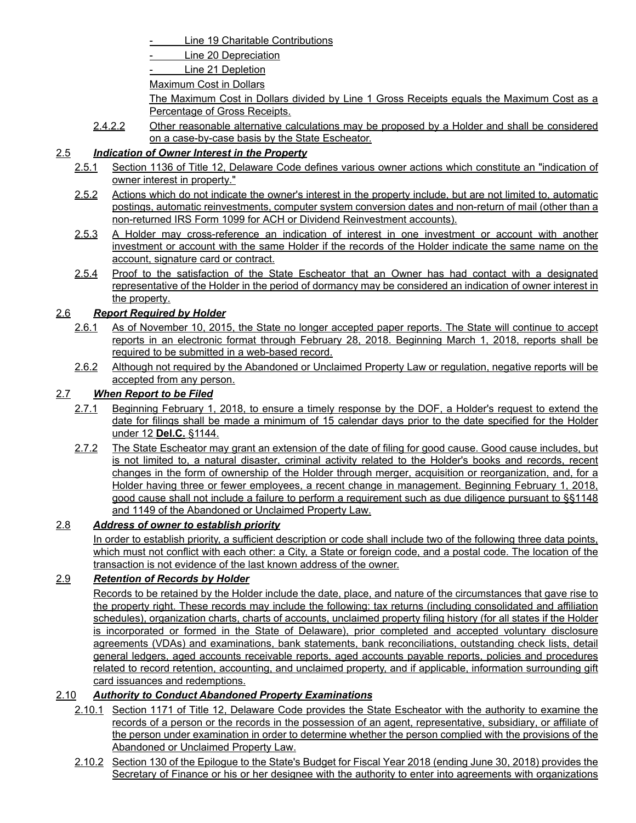Line 19 Charitable Contributions

Line 20 Depreciation

Line 21 Depletion

Maximum Cost in Dollars

The Maximum Cost in Dollars divided by Line 1 Gross Receipts equals the Maximum Cost as a Percentage of Gross Receipts.

2.4.2.2 Other reasonable alternative calculations may be proposed by a Holder and shall be considered on a case-by-case basis by the State Escheator.

## 2.5 *Indication of Owner Interest in the Property*

- 2.5.1 Section 1136 of Title 12, Delaware Code defines various owner actions which constitute an "indication of owner interest in property."
- 2.5.2 Actions which do not indicate the owner's interest in the property include, but are not limited to, automatic postings, automatic reinvestments, computer system conversion dates and non-return of mail (other than a non-returned IRS Form 1099 for ACH or Dividend Reinvestment accounts).
- 2.5.3 A Holder may cross-reference an indication of interest in one investment or account with another investment or account with the same Holder if the records of the Holder indicate the same name on the account, signature card or contract.
- 2.5.4 Proof to the satisfaction of the State Escheator that an Owner has had contact with a designated representative of the Holder in the period of dormancy may be considered an indication of owner interest in the property.

## 2.6 *Report Required by Holder*

- 2.6.1 As of November 10, 2015, the State no longer accepted paper reports. The State will continue to accept reports in an electronic format through February 28, 2018. Beginning March 1, 2018, reports shall be required to be submitted in a web-based record.
- 2.6.2 Although not required by the Abandoned or Unclaimed Property Law or regulation, negative reports will be accepted from any person.

## 2.7 *When Report to be Filed*

- 2.7.1 Beginning February 1, 2018, to ensure a timely response by the DOF, a Holder's request to extend the date for filings shall be made a minimum of 15 calendar days prior to the date specified for the Holder under 12 **Del.C.** §1144.
- 2.7.2 The State Escheator may grant an extension of the date of filing for good cause. Good cause includes, but is not limited to, a natural disaster, criminal activity related to the Holder's books and records, recent changes in the form of ownership of the Holder through merger, acquisition or reorganization, and, for a Holder having three or fewer employees, a recent change in management. Beginning February 1, 2018, good cause shall not include a failure to perform a requirement such as due diligence pursuant to §§1148 and 1149 of the Abandoned or Unclaimed Property Law.

## 2.8 *Address of owner to establish priority*

In order to establish priority, a sufficient description or code shall include two of the following three data points, which must not conflict with each other: a City, a State or foreign code, and a postal code. The location of the transaction is not evidence of the last known address of the owner.

## 2.9 *Retention of Records by Holder*

Records to be retained by the Holder include the date, place, and nature of the circumstances that gave rise to the property right. These records may include the following: tax returns (including consolidated and affiliation schedules), organization charts, charts of accounts, unclaimed property filing history (for all states if the Holder is incorporated or formed in the State of Delaware), prior completed and accepted voluntary disclosure agreements (VDAs) and examinations, bank statements, bank reconciliations, outstanding check lists, detail general ledgers, aged accounts receivable reports, aged accounts payable reports, policies and procedures related to record retention, accounting, and unclaimed property, and if applicable, information surrounding gift card issuances and redemptions.

## 2.10 *Authority to Conduct Abandoned Property Examinations*

- 2.10.1 Section 1171 of Title 12, Delaware Code provides the State Escheator with the authority to examine the records of a person or the records in the possession of an agent, representative, subsidiary, or affiliate of the person under examination in order to determine whether the person complied with the provisions of the Abandoned or Unclaimed Property Law.
- 2.10.2 Section 130 of the Epilogue to the State's Budget for Fiscal Year 2018 (ending June 30, 2018) provides the Secretary of Finance or his or her designee with the authority to enter into agreements with organizations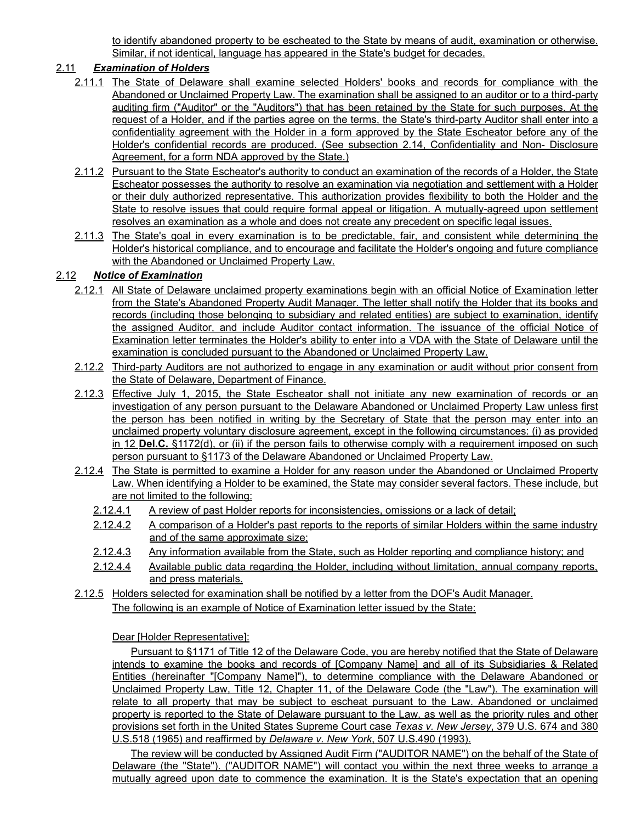to identify abandoned property to be escheated to the State by means of audit, examination or otherwise. Similar, if not identical, language has appeared in the State's budget for decades.

## 2.11 *Examination of Holders*

- 2.11.1 The State of Delaware shall examine selected Holders' books and records for compliance with the Abandoned or Unclaimed Property Law. The examination shall be assigned to an auditor or to a third-party auditing firm ("Auditor" or the "Auditors") that has been retained by the State for such purposes. At the request of a Holder, and if the parties agree on the terms, the State's third-party Auditor shall enter into a confidentiality agreement with the Holder in a form approved by the State Escheator before any of the Holder's confidential records are produced. (See subsection 2.14, Confidentiality and Non- Disclosure Agreement, for a form NDA approved by the State.)
- 2.11.2 Pursuant to the State Escheator's authority to conduct an examination of the records of a Holder, the State Escheator possesses the authority to resolve an examination via negotiation and settlement with a Holder or their duly authorized representative. This authorization provides flexibility to both the Holder and the State to resolve issues that could require formal appeal or litigation. A mutually-agreed upon settlement resolves an examination as a whole and does not create any precedent on specific legal issues.
- 2.11.3 The State's goal in every examination is to be predictable, fair, and consistent while determining the Holder's historical compliance, and to encourage and facilitate the Holder's ongoing and future compliance with the Abandoned or Unclaimed Property Law.

### 2.12 *Notice of Examination*

- 2.12.1 All State of Delaware unclaimed property examinations begin with an official Notice of Examination letter from the State's Abandoned Property Audit Manager. The letter shall notify the Holder that its books and records (including those belonging to subsidiary and related entities) are subject to examination, identify the assigned Auditor, and include Auditor contact information. The issuance of the official Notice of Examination letter terminates the Holder's ability to enter into a VDA with the State of Delaware until the examination is concluded pursuant to the Abandoned or Unclaimed Property Law.
- 2.12.2 Third-party Auditors are not authorized to engage in any examination or audit without prior consent from the State of Delaware, Department of Finance.
- 2.12.3 Effective July 1, 2015, the State Escheator shall not initiate any new examination of records or an investigation of any person pursuant to the Delaware Abandoned or Unclaimed Property Law unless first the person has been notified in writing by the Secretary of State that the person may enter into an unclaimed property voluntary disclosure agreement, except in the following circumstances: (i) as provided in 12 **Del.C.** §1172(d), or (ii) if the person fails to otherwise comply with a requirement imposed on such person pursuant to §1173 of the Delaware Abandoned or Unclaimed Property Law.
- 2.12.4 The State is permitted to examine a Holder for any reason under the Abandoned or Unclaimed Property Law. When identifying a Holder to be examined, the State may consider several factors. These include, but are not limited to the following:
	- 2.12.4.1 A review of past Holder reports for inconsistencies, omissions or a lack of detail;
	- 2.12.4.2 A comparison of a Holder's past reports to the reports of similar Holders within the same industry and of the same approximate size;
	- 2.12.4.3 Any information available from the State, such as Holder reporting and compliance history; and
	- 2.12.4.4 Available public data regarding the Holder, including without limitation, annual company reports, and press materials.
- 2.12.5 Holders selected for examination shall be notified by a letter from the DOF's Audit Manager. The following is an example of Notice of Examination letter issued by the State:

Dear [Holder Representative]:

Pursuant to §1171 of Title 12 of the Delaware Code, you are hereby notified that the State of Delaware intends to examine the books and records of [Company Name] and all of its Subsidiaries & Related Entities (hereinafter "[Company Name]"), to determine compliance with the Delaware Abandoned or Unclaimed Property Law, Title 12, Chapter 11, of the Delaware Code (the "Law"). The examination will relate to all property that may be subject to escheat pursuant to the Law. Abandoned or unclaimed property is reported to the State of Delaware pursuant to the Law, as well as the priority rules and other provisions set forth in the United States Supreme Court case *Texas v. New Jersey*, 379 U.S. 674 and 380 U.S.518 (1965) and reaffirmed by *Delaware v. New York*, 507 U.S.490 (1993).

The review will be conducted by Assigned Audit Firm ("AUDITOR NAME") on the behalf of the State of Delaware (the "State"). ("AUDITOR NAME") will contact you within the next three weeks to arrange a mutually agreed upon date to commence the examination. It is the State's expectation that an opening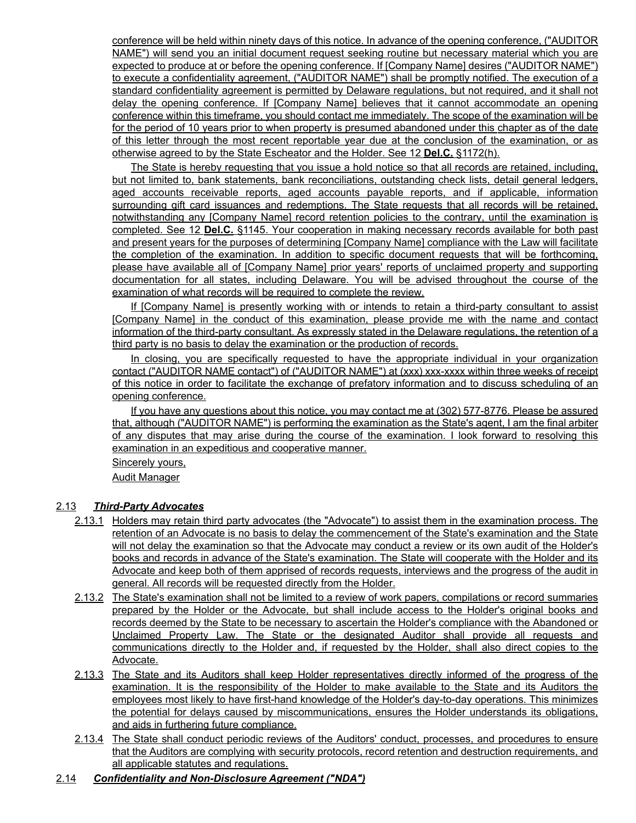conference will be held within ninety days of this notice. In advance of the opening conference, ("AUDITOR NAME") will send you an initial document request seeking routine but necessary material which you are expected to produce at or before the opening conference. If [Company Name] desires ("AUDITOR NAME") to execute a confidentiality agreement, ("AUDITOR NAME") shall be promptly notified. The execution of a standard confidentiality agreement is permitted by Delaware regulations, but not required, and it shall not delay the opening conference. If [Company Name] believes that it cannot accommodate an opening conference within this timeframe, you should contact me immediately. The scope of the examination will be for the period of 10 years prior to when property is presumed abandoned under this chapter as of the date of this letter through the most recent reportable year due at the conclusion of the examination, or as otherwise agreed to by the State Escheator and the Holder. See 12 **Del.C.** §1172(h).

The State is hereby requesting that you issue a hold notice so that all records are retained, including, but not limited to, bank statements, bank reconciliations, outstanding check lists, detail general ledgers, aged accounts receivable reports, aged accounts payable reports, and if applicable, information surrounding gift card issuances and redemptions. The State requests that all records will be retained, notwithstanding any [Company Name] record retention policies to the contrary, until the examination is completed. See 12 **Del.C.** §1145. Your cooperation in making necessary records available for both past and present years for the purposes of determining [Company Name] compliance with the Law will facilitate the completion of the examination. In addition to specific document requests that will be forthcoming, please have available all of [Company Name] prior years' reports of unclaimed property and supporting documentation for all states, including Delaware. You will be advised throughout the course of the examination of what records will be required to complete the review.

If [Company Name] is presently working with or intends to retain a third-party consultant to assist [Company Name] in the conduct of this examination, please provide me with the name and contact information of the third-party consultant. As expressly stated in the Delaware regulations, the retention of a third party is no basis to delay the examination or the production of records.

In closing, you are specifically requested to have the appropriate individual in your organization contact ("AUDITOR NAME contact") of ("AUDITOR NAME") at (xxx) xxx-xxxx within three weeks of receipt of this notice in order to facilitate the exchange of prefatory information and to discuss scheduling of an opening conference.

If you have any questions about this notice, you may contact me at (302) 577-8776. Please be assured that, although ("AUDITOR NAME") is performing the examination as the State's agent, I am the final arbiter of any disputes that may arise during the course of the examination. I look forward to resolving this examination in an expeditious and cooperative manner.

Sincerely yours,

Audit Manager

#### 2.13 *Third-Party Advocates*

- 2.13.1 Holders may retain third party advocates (the "Advocate") to assist them in the examination process. The retention of an Advocate is no basis to delay the commencement of the State's examination and the State will not delay the examination so that the Advocate may conduct a review or its own audit of the Holder's books and records in advance of the State's examination. The State will cooperate with the Holder and its Advocate and keep both of them apprised of records requests, interviews and the progress of the audit in general. All records will be requested directly from the Holder.
- 2.13.2 The State's examination shall not be limited to a review of work papers, compilations or record summaries prepared by the Holder or the Advocate, but shall include access to the Holder's original books and records deemed by the State to be necessary to ascertain the Holder's compliance with the Abandoned or Unclaimed Property Law. The State or the designated Auditor shall provide all requests and communications directly to the Holder and, if requested by the Holder, shall also direct copies to the Advocate.
- 2.13.3 The State and its Auditors shall keep Holder representatives directly informed of the progress of the examination. It is the responsibility of the Holder to make available to the State and its Auditors the employees most likely to have first-hand knowledge of the Holder's day-to-day operations. This minimizes the potential for delays caused by miscommunications, ensures the Holder understands its obligations, and aids in furthering future compliance.
- 2.13.4 The State shall conduct periodic reviews of the Auditors' conduct, processes, and procedures to ensure that the Auditors are complying with security protocols, record retention and destruction requirements, and all applicable statutes and regulations.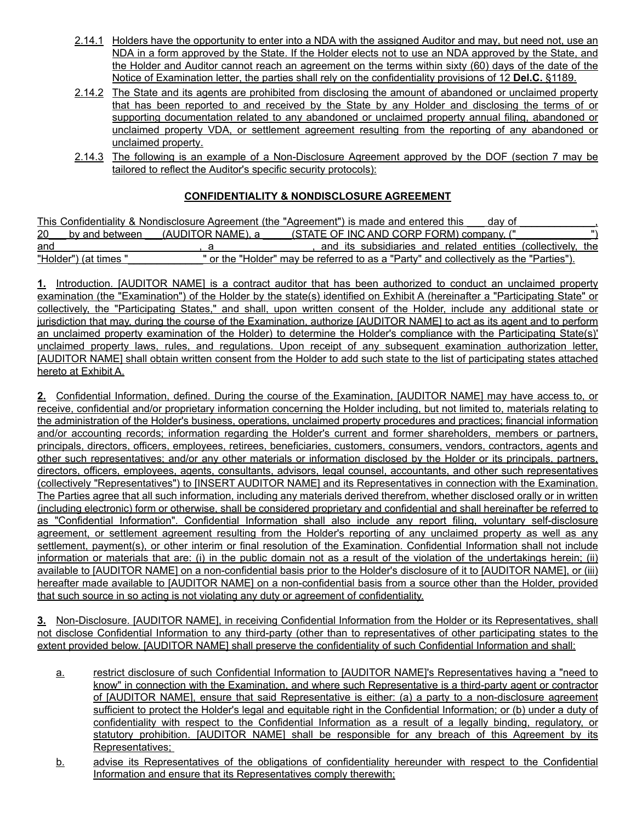- 2.14.1 Holders have the opportunity to enter into a NDA with the assigned Auditor and may, but need not, use an NDA in a form approved by the State. If the Holder elects not to use an NDA approved by the State, and the Holder and Auditor cannot reach an agreement on the terms within sixty (60) days of the date of the Notice of Examination letter, the parties shall rely on the confidentiality provisions of 12 **Del.C.** §1189.
- 2.14.2 The State and its agents are prohibited from disclosing the amount of abandoned or unclaimed property that has been reported to and received by the State by any Holder and disclosing the terms of or supporting documentation related to any abandoned or unclaimed property annual filing, abandoned or unclaimed property VDA, or settlement agreement resulting from the reporting of any abandoned or unclaimed property.
- 2.14.3 The following is an example of a Non-Disclosure Agreement approved by the DOF (section 7 may be tailored to reflect the Auditor's specific security protocols):

## **CONFIDENTIALITY & NONDISCLOSURE AGREEMENT**

|     |                       | This Confidentiality & Nondisclosure Agreement (the "Agreement") is made and entered this |                                                                                       | dav of |  |
|-----|-----------------------|-------------------------------------------------------------------------------------------|---------------------------------------------------------------------------------------|--------|--|
|     |                       | 20 by and between (AUDITOR NAME), a                                                       | (STATE OF INC AND CORP FORM) company, ("                                              |        |  |
| and |                       |                                                                                           | and its subsidiaries and related entities (collectively, the                          |        |  |
|     | "Holder") (at times " |                                                                                           | " or the "Holder" may be referred to as a "Party" and collectively as the "Parties"). |        |  |

**1.** Introduction. [AUDITOR NAME] is a contract auditor that has been authorized to conduct an unclaimed property examination (the "Examination") of the Holder by the state(s) identified on Exhibit A (hereinafter a "Participating State" or collectively, the "Participating States," and shall, upon written consent of the Holder, include any additional state or jurisdiction that may, during the course of the Examination, authorize [AUDITOR NAME] to act as its agent and to perform an unclaimed property examination of the Holder) to determine the Holder's compliance with the Participating State(s)' unclaimed property laws, rules, and regulations. Upon receipt of any subsequent examination authorization letter, [AUDITOR NAME] shall obtain written consent from the Holder to add such state to the list of participating states attached hereto at Exhibit A.

**2.** Confidential Information, defined. During the course of the Examination, [AUDITOR NAME] may have access to, or receive, confidential and/or proprietary information concerning the Holder including, but not limited to, materials relating to the administration of the Holder's business, operations, unclaimed property procedures and practices; financial information and/or accounting records; information regarding the Holder's current and former shareholders, members or partners, principals, directors, officers, employees, retirees, beneficiaries, customers, consumers, vendors, contractors, agents and other such representatives; and/or any other materials or information disclosed by the Holder or its principals, partners, directors, officers, employees, agents, consultants, advisors, legal counsel, accountants, and other such representatives (collectively "Representatives") to [INSERT AUDITOR NAME] and its Representatives in connection with the Examination. The Parties agree that all such information, including any materials derived therefrom, whether disclosed orally or in written (including electronic) form or otherwise, shall be considered proprietary and confidential and shall hereinafter be referred to as "Confidential Information". Confidential Information shall also include any report filing, voluntary self-disclosure agreement, or settlement agreement resulting from the Holder's reporting of any unclaimed property as well as any settlement, payment(s), or other interim or final resolution of the Examination. Confidential Information shall not include information or materials that are: (i) in the public domain not as a result of the violation of the undertakings herein; (ii) available to [AUDITOR NAME] on a non-confidential basis prior to the Holder's disclosure of it to [AUDITOR NAME], or (iii) hereafter made available to [AUDITOR NAME] on a non-confidential basis from a source other than the Holder, provided that such source in so acting is not violating any duty or agreement of confidentiality.

**3.** Non-Disclosure. [AUDITOR NAME], in receiving Confidential Information from the Holder or its Representatives, shall not disclose Confidential Information to any third-party (other than to representatives of other participating states to the extent provided below. [AUDITOR NAME] shall preserve the confidentiality of such Confidential Information and shall:

- a. restrict disclosure of such Confidential Information to [AUDITOR NAME]'s Representatives having a "need to know" in connection with the Examination, and where such Representative is a third-party agent or contractor of [AUDITOR NAME], ensure that said Representative is either: (a) a party to a non-disclosure agreement sufficient to protect the Holder's legal and equitable right in the Confidential Information; or (b) under a duty of confidentiality with respect to the Confidential Information as a result of a legally binding, regulatory, or statutory prohibition. [AUDITOR NAME] shall be responsible for any breach of this Agreement by its Representatives;
- b. advise its Representatives of the obligations of confidentiality hereunder with respect to the Confidential Information and ensure that its Representatives comply therewith;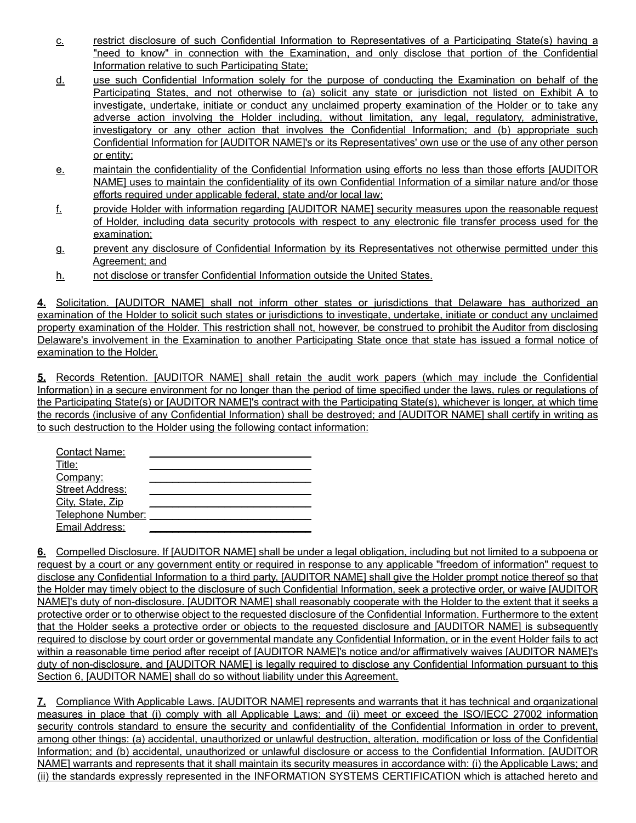- c. restrict disclosure of such Confidential Information to Representatives of a Participating State(s) having a "need to know" in connection with the Examination, and only disclose that portion of the Confidential Information relative to such Participating State;
- d. use such Confidential Information solely for the purpose of conducting the Examination on behalf of the Participating States, and not otherwise to (a) solicit any state or jurisdiction not listed on Exhibit A to investigate, undertake, initiate or conduct any unclaimed property examination of the Holder or to take any adverse action involving the Holder including, without limitation, any legal, regulatory, administrative, investigatory or any other action that involves the Confidential Information; and (b) appropriate such Confidential Information for [AUDITOR NAME]'s or its Representatives' own use or the use of any other person or entity;
- e. maintain the confidentiality of the Confidential Information using efforts no less than those efforts [AUDITOR NAME] uses to maintain the confidentiality of its own Confidential Information of a similar nature and/or those efforts required under applicable federal, state and/or local law;
- f. provide Holder with information regarding [AUDITOR NAME] security measures upon the reasonable request of Holder, including data security protocols with respect to any electronic file transfer process used for the examination;
- g. prevent any disclosure of Confidential Information by its Representatives not otherwise permitted under this Agreement; and
- h. not disclose or transfer Confidential Information outside the United States.

**4.** Solicitation. [AUDITOR NAME] shall not inform other states or jurisdictions that Delaware has authorized an examination of the Holder to solicit such states or jurisdictions to investigate, undertake, initiate or conduct any unclaimed property examination of the Holder. This restriction shall not, however, be construed to prohibit the Auditor from disclosing Delaware's involvement in the Examination to another Participating State once that state has issued a formal notice of examination to the Holder.

**5.** Records Retention. [AUDITOR NAME] shall retain the audit work papers (which may include the Confidential Information) in a secure environment for no longer than the period of time specified under the laws, rules or regulations of the Participating State(s) or [AUDITOR NAME]'s contract with the Participating State(s), whichever is longer, at which time the records (inclusive of any Confidential Information) shall be destroyed; and [AUDITOR NAME] shall certify in writing as to such destruction to the Holder using the following contact information:

| <b>Contact Name:</b>   |  |
|------------------------|--|
| Title:                 |  |
| Company:               |  |
| <b>Street Address:</b> |  |
| City, State, Zip       |  |
| Telephone Number:      |  |
| Email Address:         |  |
|                        |  |

**6.** Compelled Disclosure. If [AUDITOR NAME] shall be under a legal obligation, including but not limited to a subpoena or request by a court or any government entity or required in response to any applicable "freedom of information" request to disclose any Confidential Information to a third party, [AUDITOR NAME] shall give the Holder prompt notice thereof so that the Holder may timely object to the disclosure of such Confidential Information, seek a protective order, or waive [AUDITOR NAME]'s duty of non-disclosure. [AUDITOR NAME] shall reasonably cooperate with the Holder to the extent that it seeks a protective order or to otherwise object to the requested disclosure of the Confidential Information. Furthermore to the extent that the Holder seeks a protective order or objects to the requested disclosure and [AUDITOR NAME] is subsequently required to disclose by court order or governmental mandate any Confidential Information, or in the event Holder fails to act within a reasonable time period after receipt of [AUDITOR NAME]'s notice and/or affirmatively waives [AUDITOR NAME]'s duty of non-disclosure, and [AUDITOR NAME] is legally required to disclose any Confidential Information pursuant to this Section 6, [AUDITOR NAME] shall do so without liability under this Agreement.

**7.** Compliance With Applicable Laws. [AUDITOR NAME] represents and warrants that it has technical and organizational measures in place that (i) comply with all Applicable Laws; and (ii) meet or exceed the ISO/IECC 27002 information security controls standard to ensure the security and confidentiality of the Confidential Information in order to prevent, among other things: (a) accidental, unauthorized or unlawful destruction, alteration, modification or loss of the Confidential Information; and (b) accidental, unauthorized or unlawful disclosure or access to the Confidential Information. [AUDITOR NAME] warrants and represents that it shall maintain its security measures in accordance with: (i) the Applicable Laws; and (ii) the standards expressly represented in the INFORMATION SYSTEMS CERTIFICATION which is attached hereto and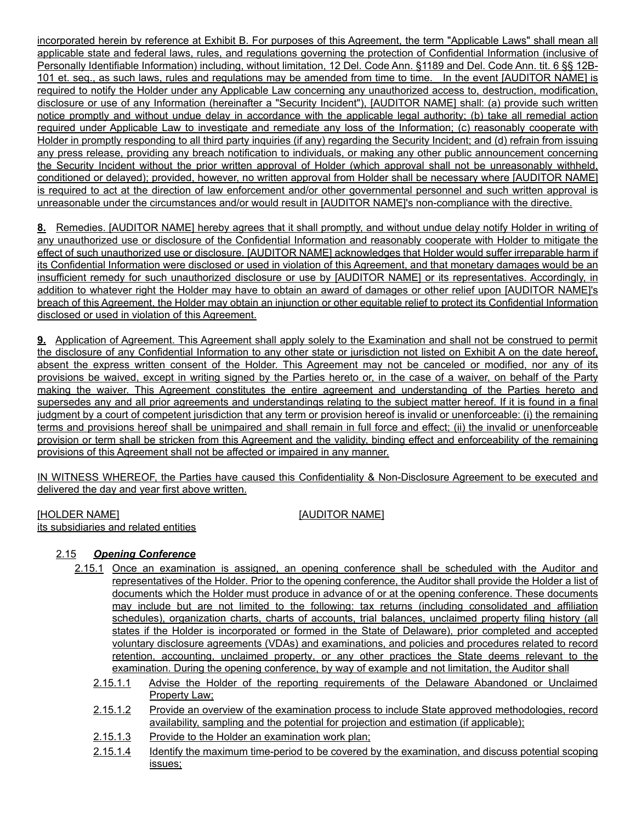incorporated herein by reference at Exhibit B. For purposes of this Agreement, the term "Applicable Laws" shall mean all applicable state and federal laws, rules, and regulations governing the protection of Confidential Information (inclusive of Personally Identifiable Information) including, without limitation, 12 Del. Code Ann. §1189 and Del. Code Ann. tit. 6 §§ 12B-101 et. seq., as such laws, rules and regulations may be amended from time to time. In the event [AUDITOR NAME] is required to notify the Holder under any Applicable Law concerning any unauthorized access to, destruction, modification, disclosure or use of any Information (hereinafter a "Security Incident"), [AUDITOR NAME] shall: (a) provide such written notice promptly and without undue delay in accordance with the applicable legal authority; (b) take all remedial action required under Applicable Law to investigate and remediate any loss of the Information; (c) reasonably cooperate with Holder in promptly responding to all third party inquiries (if any) regarding the Security Incident; and (d) refrain from issuing any press release, providing any breach notification to individuals, or making any other public announcement concerning the Security Incident without the prior written approval of Holder (which approval shall not be unreasonably withheld, conditioned or delayed); provided, however, no written approval from Holder shall be necessary where [AUDITOR NAME] is required to act at the direction of law enforcement and/or other governmental personnel and such written approval is unreasonable under the circumstances and/or would result in [AUDITOR NAME]'s non-compliance with the directive.

**8.** Remedies. [AUDITOR NAME] hereby agrees that it shall promptly, and without undue delay notify Holder in writing of any unauthorized use or disclosure of the Confidential Information and reasonably cooperate with Holder to mitigate the effect of such unauthorized use or disclosure. [AUDITOR NAME] acknowledges that Holder would suffer irreparable harm if its Confidential Information were disclosed or used in violation of this Agreement, and that monetary damages would be an insufficient remedy for such unauthorized disclosure or use by [AUDITOR NAME] or its representatives. Accordingly, in addition to whatever right the Holder may have to obtain an award of damages or other relief upon [AUDITOR NAME]'s breach of this Agreement, the Holder may obtain an injunction or other equitable relief to protect its Confidential Information disclosed or used in violation of this Agreement.

**9.** Application of Agreement. This Agreement shall apply solely to the Examination and shall not be construed to permit the disclosure of any Confidential Information to any other state or jurisdiction not listed on Exhibit A on the date hereof, absent the express written consent of the Holder. This Agreement may not be canceled or modified, nor any of its provisions be waived, except in writing signed by the Parties hereto or, in the case of a waiver, on behalf of the Party making the waiver. This Agreement constitutes the entire agreement and understanding of the Parties hereto and supersedes any and all prior agreements and understandings relating to the subject matter hereof. If it is found in a final judgment by a court of competent jurisdiction that any term or provision hereof is invalid or unenforceable: (i) the remaining terms and provisions hereof shall be unimpaired and shall remain in full force and effect; (ii) the invalid or unenforceable provision or term shall be stricken from this Agreement and the validity, binding effect and enforceability of the remaining provisions of this Agreement shall not be affected or impaired in any manner.

IN WITNESS WHEREOF, the Parties have caused this Confidentiality & Non-Disclosure Agreement to be executed and delivered the day and year first above written.

[HOLDER NAME] [AUDITOR NAME] its subsidiaries and related entities

## 2.15 *Opening Conference*

- 2.15.1 Once an examination is assigned, an opening conference shall be scheduled with the Auditor and representatives of the Holder. Prior to the opening conference, the Auditor shall provide the Holder a list of documents which the Holder must produce in advance of or at the opening conference. These documents may include but are not limited to the following: tax returns (including consolidated and affiliation schedules), organization charts, charts of accounts, trial balances, unclaimed property filing history (all states if the Holder is incorporated or formed in the State of Delaware), prior completed and accepted voluntary disclosure agreements (VDAs) and examinations, and policies and procedures related to record retention, accounting, unclaimed property, or any other practices the State deems relevant to the examination. During the opening conference, by way of example and not limitation, the Auditor shall
	- 2.15.1.1 Advise the Holder of the reporting requirements of the Delaware Abandoned or Unclaimed Property Law;
	- 2.15.1.2 Provide an overview of the examination process to include State approved methodologies, record availability, sampling and the potential for projection and estimation (if applicable);
	- 2.15.1.3 Provide to the Holder an examination work plan;
	- 2.15.1.4 Identify the maximum time-period to be covered by the examination, and discuss potential scoping issues;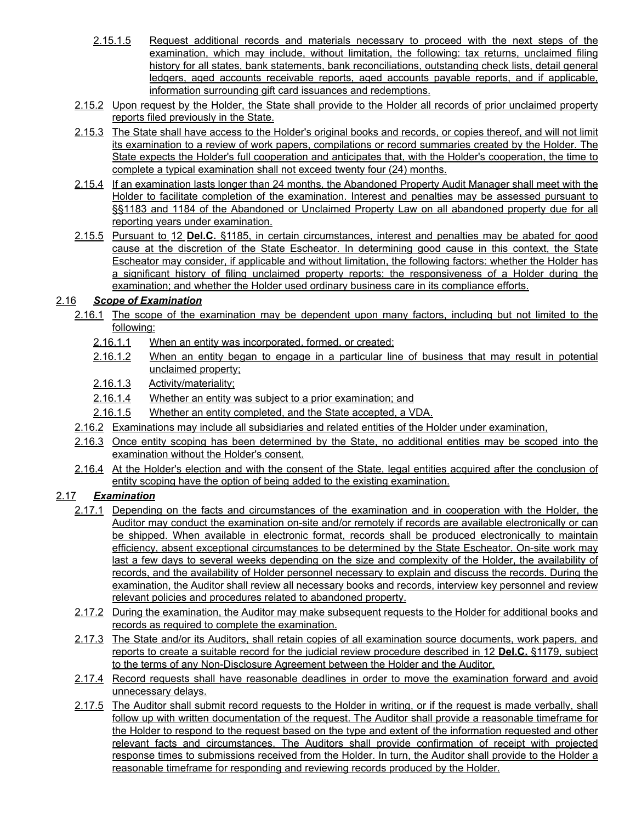- 2.15.1.5 Request additional records and materials necessary to proceed with the next steps of the examination, which may include, without limitation, the following: tax returns, unclaimed filing history for all states, bank statements, bank reconciliations, outstanding check lists, detail general ledgers, aged accounts receivable reports, aged accounts payable reports, and if applicable, information surrounding gift card issuances and redemptions.
- 2.15.2 Upon request by the Holder, the State shall provide to the Holder all records of prior unclaimed property reports filed previously in the State.
- 2.15.3 The State shall have access to the Holder's original books and records, or copies thereof, and will not limit its examination to a review of work papers, compilations or record summaries created by the Holder. The State expects the Holder's full cooperation and anticipates that, with the Holder's cooperation, the time to complete a typical examination shall not exceed twenty four (24) months.
- 2.15.4 If an examination lasts longer than 24 months, the Abandoned Property Audit Manager shall meet with the Holder to facilitate completion of the examination. Interest and penalties may be assessed pursuant to §§1183 and 1184 of the Abandoned or Unclaimed Property Law on all abandoned property due for all reporting years under examination.
- 2.15.5 Pursuant to 12 **Del.C.** §1185, in certain circumstances, interest and penalties may be abated for good cause at the discretion of the State Escheator. In determining good cause in this context, the State Escheator may consider, if applicable and without limitation, the following factors: whether the Holder has a significant history of filing unclaimed property reports; the responsiveness of a Holder during the examination; and whether the Holder used ordinary business care in its compliance efforts.

### 2.16 *Scope of Examination*

- 2.16.1 The scope of the examination may be dependent upon many factors, including but not limited to the following:
	- 2.16.1.1 When an entity was incorporated, formed, or created;
	- 2.16.1.2 When an entity began to engage in a particular line of business that may result in potential unclaimed property;
	- 2.16.1.3 Activity/materiality;
	- 2.16.1.4 Whether an entity was subject to a prior examination; and
	- 2.16.1.5 Whether an entity completed, and the State accepted, a VDA.
- 2.16.2 Examinations may include all subsidiaries and related entities of the Holder under examination,
- 2.16.3 Once entity scoping has been determined by the State, no additional entities may be scoped into the examination without the Holder's consent.
- 2.16.4 At the Holder's election and with the consent of the State, legal entities acquired after the conclusion of entity scoping have the option of being added to the existing examination.

## 2.17 *Examination*

- 2.17.1 Depending on the facts and circumstances of the examination and in cooperation with the Holder, the Auditor may conduct the examination on-site and/or remotely if records are available electronically or can be shipped. When available in electronic format, records shall be produced electronically to maintain efficiency, absent exceptional circumstances to be determined by the State Escheator. On-site work may last a few days to several weeks depending on the size and complexity of the Holder, the availability of records, and the availability of Holder personnel necessary to explain and discuss the records. During the examination, the Auditor shall review all necessary books and records, interview key personnel and review relevant policies and procedures related to abandoned property.
- 2.17.2 During the examination, the Auditor may make subsequent requests to the Holder for additional books and records as required to complete the examination.
- 2.17.3 The State and/or its Auditors, shall retain copies of all examination source documents, work papers, and reports to create a suitable record for the judicial review procedure described in 12 **Del.C.** §1179, subject to the terms of any Non-Disclosure Agreement between the Holder and the Auditor.
- 2.17.4 Record requests shall have reasonable deadlines in order to move the examination forward and avoid unnecessary delays.
- 2.17.5 The Auditor shall submit record requests to the Holder in writing, or if the request is made verbally, shall follow up with written documentation of the request. The Auditor shall provide a reasonable timeframe for the Holder to respond to the request based on the type and extent of the information requested and other relevant facts and circumstances. The Auditors shall provide confirmation of receipt with projected response times to submissions received from the Holder. In turn, the Auditor shall provide to the Holder a reasonable timeframe for responding and reviewing records produced by the Holder.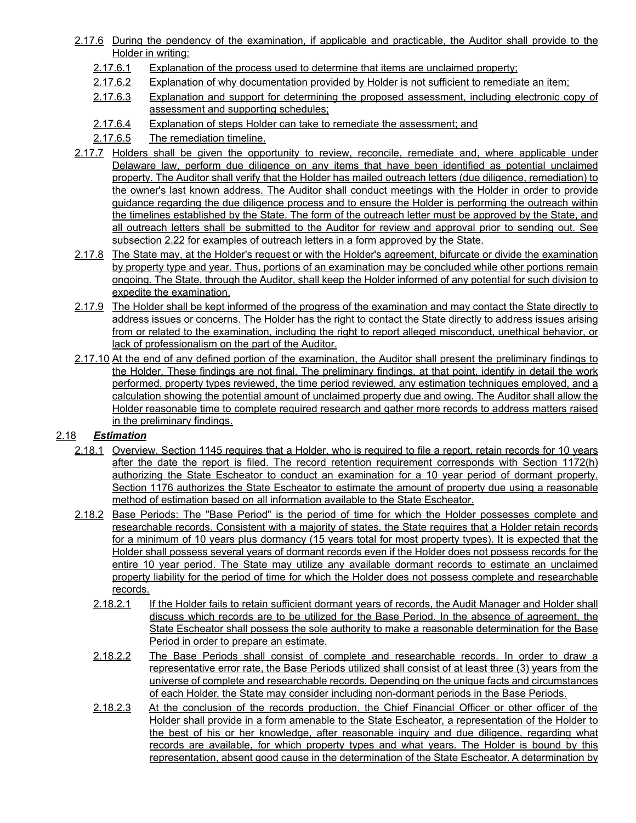- 2.17.6 During the pendency of the examination, if applicable and practicable, the Auditor shall provide to the Holder in writing:
	- 2.17.6.1 Explanation of the process used to determine that items are unclaimed property;
	- 2.17.6.2 Explanation of why documentation provided by Holder is not sufficient to remediate an item;
	- 2.17.6.3 Explanation and support for determining the proposed assessment, including electronic copy of assessment and supporting schedules;
	- 2.17.6.4 Explanation of steps Holder can take to remediate the assessment; and
	- 2.17.6.5 The remediation timeline.
- 2.17.7 Holders shall be given the opportunity to review, reconcile, remediate and, where applicable under Delaware law, perform due diligence on any items that have been identified as potential unclaimed property. The Auditor shall verify that the Holder has mailed outreach letters (due diligence, remediation) to the owner's last known address. The Auditor shall conduct meetings with the Holder in order to provide guidance regarding the due diligence process and to ensure the Holder is performing the outreach within the timelines established by the State. The form of the outreach letter must be approved by the State, and all outreach letters shall be submitted to the Auditor for review and approval prior to sending out. See subsection 2.22 for examples of outreach letters in a form approved by the State.
- 2.17.8 The State may, at the Holder's request or with the Holder's agreement, bifurcate or divide the examination by property type and year. Thus, portions of an examination may be concluded while other portions remain ongoing. The State, through the Auditor, shall keep the Holder informed of any potential for such division to expedite the examination.
- 2.17.9 The Holder shall be kept informed of the progress of the examination and may contact the State directly to address issues or concerns. The Holder has the right to contact the State directly to address issues arising from or related to the examination, including the right to report alleged misconduct, unethical behavior, or lack of professionalism on the part of the Auditor.
- 2.17.10 At the end of any defined portion of the examination, the Auditor shall present the preliminary findings to the Holder. These findings are not final. The preliminary findings, at that point, identify in detail the work performed, property types reviewed, the time period reviewed, any estimation techniques employed, and a calculation showing the potential amount of unclaimed property due and owing. The Auditor shall allow the Holder reasonable time to complete required research and gather more records to address matters raised in the preliminary findings.

#### 2.18 *Estimation*

- 2.18.1 Overview. Section 1145 requires that a Holder, who is required to file a report, retain records for 10 years after the date the report is filed. The record retention requirement corresponds with Section 1172(h) authorizing the State Escheator to conduct an examination for a 10 year period of dormant property. Section 1176 authorizes the State Escheator to estimate the amount of property due using a reasonable method of estimation based on all information available to the State Escheator.
- 2.18.2 Base Periods: The "Base Period" is the period of time for which the Holder possesses complete and researchable records. Consistent with a majority of states, the State requires that a Holder retain records for a minimum of 10 years plus dormancy (15 years total for most property types). It is expected that the Holder shall possess several years of dormant records even if the Holder does not possess records for the entire 10 year period. The State may utilize any available dormant records to estimate an unclaimed property liability for the period of time for which the Holder does not possess complete and researchable records.
	- 2.18.2.1 If the Holder fails to retain sufficient dormant years of records, the Audit Manager and Holder shall discuss which records are to be utilized for the Base Period. In the absence of agreement, the State Escheator shall possess the sole authority to make a reasonable determination for the Base Period in order to prepare an estimate.
	- 2.18.2.2 The Base Periods shall consist of complete and researchable records. In order to draw a representative error rate, the Base Periods utilized shall consist of at least three (3) years from the universe of complete and researchable records. Depending on the unique facts and circumstances of each Holder, the State may consider including non-dormant periods in the Base Periods.
	- 2.18.2.3 At the conclusion of the records production, the Chief Financial Officer or other officer of the Holder shall provide in a form amenable to the State Escheator, a representation of the Holder to the best of his or her knowledge, after reasonable inquiry and due diligence, regarding what records are available, for which property types and what years. The Holder is bound by this representation, absent good cause in the determination of the State Escheator. A determination by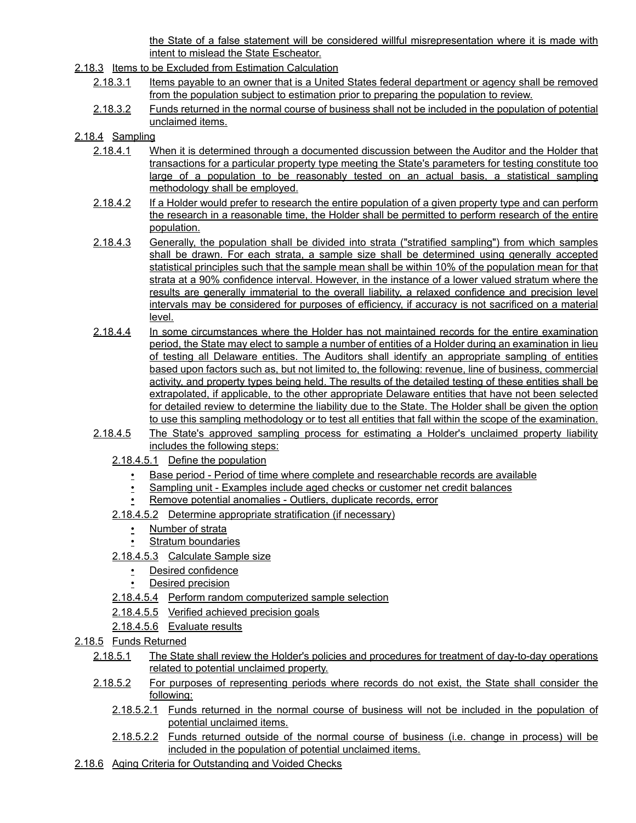the State of a false statement will be considered willful misrepresentation where it is made with intent to mislead the State Escheator.

- 2.18.3 Items to be Excluded from Estimation Calculation
	- 2.18.3.1 Items payable to an owner that is a United States federal department or agency shall be removed from the population subject to estimation prior to preparing the population to review.
	- 2.18.3.2 Funds returned in the normal course of business shall not be included in the population of potential unclaimed items.

### 2.18.4 Sampling

- 2.18.4.1 When it is determined through a documented discussion between the Auditor and the Holder that transactions for a particular property type meeting the State's parameters for testing constitute too large of a population to be reasonably tested on an actual basis, a statistical sampling methodology shall be employed.
- 2.18.4.2 If a Holder would prefer to research the entire population of a given property type and can perform the research in a reasonable time, the Holder shall be permitted to perform research of the entire population.
- 2.18.4.3 Generally, the population shall be divided into strata ("stratified sampling") from which samples shall be drawn. For each strata, a sample size shall be determined using generally accepted statistical principles such that the sample mean shall be within 10% of the population mean for that strata at a 90% confidence interval. However, in the instance of a lower valued stratum where the results are generally immaterial to the overall liability, a relaxed confidence and precision level intervals may be considered for purposes of efficiency, if accuracy is not sacrificed on a material level.
- 2.18.4.4 In some circumstances where the Holder has not maintained records for the entire examination period, the State may elect to sample a number of entities of a Holder during an examination in lieu of testing all Delaware entities. The Auditors shall identify an appropriate sampling of entities based upon factors such as, but not limited to, the following: revenue, line of business, commercial activity, and property types being held. The results of the detailed testing of these entities shall be extrapolated, if applicable, to the other appropriate Delaware entities that have not been selected for detailed review to determine the liability due to the State. The Holder shall be given the option to use this sampling methodology or to test all entities that fall within the scope of the examination.
- 2.18.4.5 The State's approved sampling process for estimating a Holder's unclaimed property liability includes the following steps:
	- 2.18.4.5.1 Define the population
		- Base period Period of time where complete and researchable records are available
		- Sampling unit Examples include aged checks or customer net credit balances
		- Remove potential anomalies Outliers, duplicate records, error
	- 2.18.4.5.2 Determine appropriate stratification (if necessary)
		- Number of strata
		- **Stratum boundaries**
	- 2.18.4.5.3 Calculate Sample size
		- Desired confidence
		- **Desired precision**
	- 2.18.4.5.4 Perform random computerized sample selection
	- 2.18.4.5.5 Verified achieved precision goals
	- 2.18.4.5.6 Evaluate results
- 2.18.5 Funds Returned
	- 2.18.5.1 The State shall review the Holder's policies and procedures for treatment of day-to-day operations related to potential unclaimed property.
	- 2.18.5.2 For purposes of representing periods where records do not exist, the State shall consider the following:
		- 2.18.5.2.1 Funds returned in the normal course of business will not be included in the population of potential unclaimed items.
		- 2.18.5.2.2 Funds returned outside of the normal course of business (i.e. change in process) will be included in the population of potential unclaimed items.
- 2.18.6 Aging Criteria for Outstanding and Voided Checks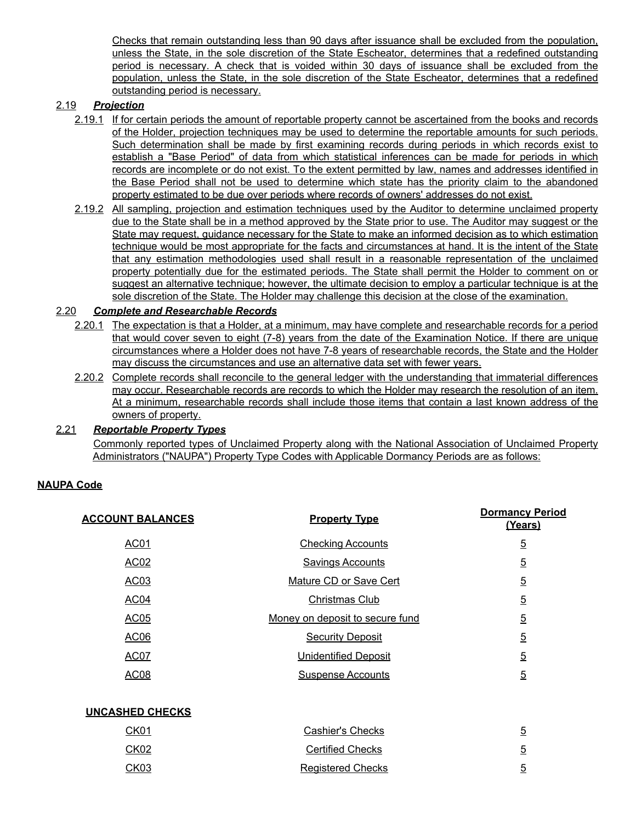Checks that remain outstanding less than 90 days after issuance shall be excluded from the population, unless the State, in the sole discretion of the State Escheator, determines that a redefined outstanding period is necessary. A check that is voided within 30 days of issuance shall be excluded from the population, unless the State, in the sole discretion of the State Escheator, determines that a redefined outstanding period is necessary.

### 2.19 *Projection*

- 2.19.1 If for certain periods the amount of reportable property cannot be ascertained from the books and records of the Holder, projection techniques may be used to determine the reportable amounts for such periods. Such determination shall be made by first examining records during periods in which records exist to establish a "Base Period" of data from which statistical inferences can be made for periods in which records are incomplete or do not exist. To the extent permitted by law, names and addresses identified in the Base Period shall not be used to determine which state has the priority claim to the abandoned property estimated to be due over periods where records of owners' addresses do not exist.
- 2.19.2 All sampling, projection and estimation techniques used by the Auditor to determine unclaimed property due to the State shall be in a method approved by the State prior to use. The Auditor may suggest or the State may request, guidance necessary for the State to make an informed decision as to which estimation technique would be most appropriate for the facts and circumstances at hand. It is the intent of the State that any estimation methodologies used shall result in a reasonable representation of the unclaimed property potentially due for the estimated periods. The State shall permit the Holder to comment on or suggest an alternative technique; however, the ultimate decision to employ a particular technique is at the sole discretion of the State. The Holder may challenge this decision at the close of the examination.

#### 2.20 *Complete and Researchable Records*

- 2.20.1 The expectation is that a Holder, at a minimum, may have complete and researchable records for a period that would cover seven to eight (7-8) years from the date of the Examination Notice. If there are unique circumstances where a Holder does not have 7-8 years of researchable records, the State and the Holder may discuss the circumstances and use an alternative data set with fewer years.
- 2.20.2 Complete records shall reconcile to the general ledger with the understanding that immaterial differences may occur. Researchable records are records to which the Holder may research the resolution of an item. At a minimum, researchable records shall include those items that contain a last known address of the owners of property.

#### 2.21 *Reportable Property Types*

Commonly reported types of Unclaimed Property along with the National Association of Unclaimed Property Administrators ("NAUPA") Property Type Codes with Applicable Dormancy Periods are as follows:

## **NAUPA Code**

| <b>ACCOUNT BALANCES</b> | <b>Property Type</b>            | <b>Dormancy Period</b><br>(Years) |
|-------------------------|---------------------------------|-----------------------------------|
| AC01                    | <b>Checking Accounts</b>        | $\overline{5}$                    |
| <b>AC02</b>             | <b>Savings Accounts</b>         | $\overline{5}$                    |
| AC03                    | Mature CD or Save Cert          | $\overline{5}$                    |
| AC04                    | Christmas Club                  | $\overline{5}$                    |
| <b>AC05</b>             | Money on deposit to secure fund | $\overline{5}$                    |
| AC06                    | <b>Security Deposit</b>         | $\overline{5}$                    |
| <b>AC07</b>             | <b>Unidentified Deposit</b>     | $\overline{5}$                    |
| <b>AC08</b>             | <b>Suspense Accounts</b>        | $\overline{5}$                    |
|                         |                                 |                                   |
| <b>UNCASHED CHECKS</b>  |                                 |                                   |
| CK01                    | <b>Cashier's Checks</b>         | $\overline{5}$                    |

| <u>CKUT</u> | Casnier's Checks         |   |
|-------------|--------------------------|---|
| CK02        | <b>Certified Checks</b>  | 5 |
| CK03        | <b>Registered Checks</b> |   |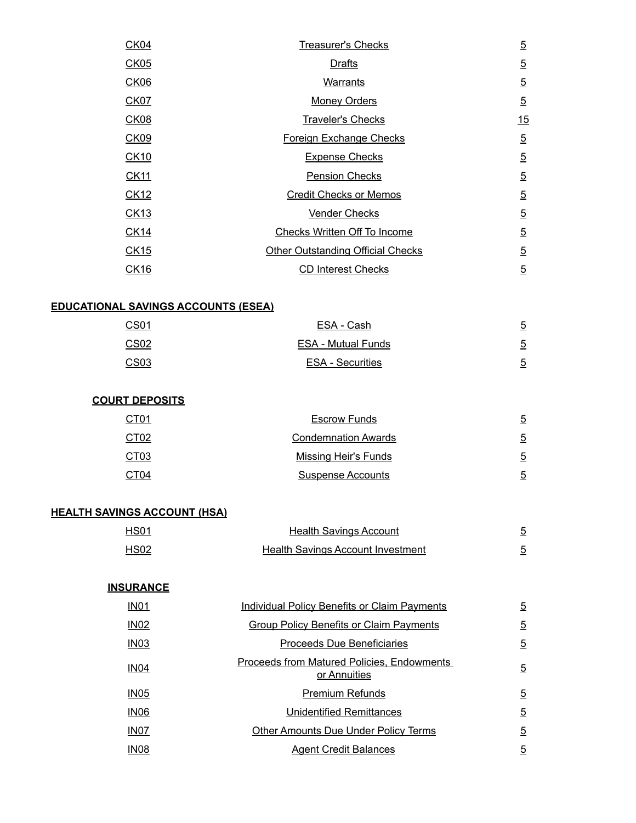| CK04        | <b>Treasurer's Checks</b>                | $\overline{5}$ |
|-------------|------------------------------------------|----------------|
| <b>CK05</b> | <b>Drafts</b>                            | $\overline{5}$ |
| <b>CK06</b> | <b>Warrants</b>                          | $\overline{5}$ |
| <b>CK07</b> | <b>Money Orders</b>                      | $\overline{5}$ |
| <b>CK08</b> | <b>Traveler's Checks</b>                 | 15             |
| <b>CK09</b> | Foreign Exchange Checks                  | $\overline{5}$ |
| <b>CK10</b> | <b>Expense Checks</b>                    | $\overline{5}$ |
| <b>CK11</b> | <b>Pension Checks</b>                    | $\overline{5}$ |
| CK12        | <b>Credit Checks or Memos</b>            | $\overline{5}$ |
| <b>CK13</b> | <b>Vender Checks</b>                     | $\overline{5}$ |
| <b>CK14</b> | <b>Checks Written Off To Income</b>      | $\overline{5}$ |
| CK15        | <b>Other Outstanding Official Checks</b> | $\overline{5}$ |
| <b>CK16</b> | <b>CD Interest Checks</b>                | $\overline{5}$ |

# **EDUCATIONAL SAVINGS ACCOUNTS (ESEA)**

| CS01             | ESA - Cash                | $\overline{5}$ |
|------------------|---------------------------|----------------|
| CS <sub>02</sub> | <b>ESA - Mutual Funds</b> | $\overline{5}$ |
| CSO <sub>3</sub> | <b>ESA - Securities</b>   | 5              |

## **COURT DEPOSITS**

| CT01             | <b>Escrow Funds</b>        | $\overline{5}$ |
|------------------|----------------------------|----------------|
| CT <sub>02</sub> | <b>Condemnation Awards</b> | 5              |
| CT <sub>03</sub> | Missing Heir's Funds       | $\overline{5}$ |
| CT <sub>04</sub> | <b>Suspense Accounts</b>   | 5              |
|                  |                            |                |

# **HEALTH SAVINGS ACCOUNT (HSA)**

| <b>HS01</b> | Health Savings Account                   |  |
|-------------|------------------------------------------|--|
| HS02        | <b>Health Savings Account Investment</b> |  |

| <b>INSURANCE</b> |                                                                   |                |
|------------------|-------------------------------------------------------------------|----------------|
| IN <sub>01</sub> | Individual Policy Benefits or Claim Payments                      | $\overline{5}$ |
| <b>IN02</b>      | Group Policy Benefits or Claim Payments                           | $\overline{5}$ |
| <b>IN03</b>      | Proceeds Due Beneficiaries                                        | $\overline{5}$ |
| <b>IN04</b>      | <b>Proceeds from Matured Policies, Endowments</b><br>or Annuities | $\overline{5}$ |
| IN <sub>05</sub> | Premium Refunds                                                   | $\overline{5}$ |
| IN <sub>06</sub> | <b>Unidentified Remittances</b>                                   | $\overline{5}$ |
| IN <sub>07</sub> | <b>Other Amounts Due Under Policy Terms</b>                       | $\overline{5}$ |
| <b>IN08</b>      | <b>Agent Credit Balances</b>                                      | $\overline{5}$ |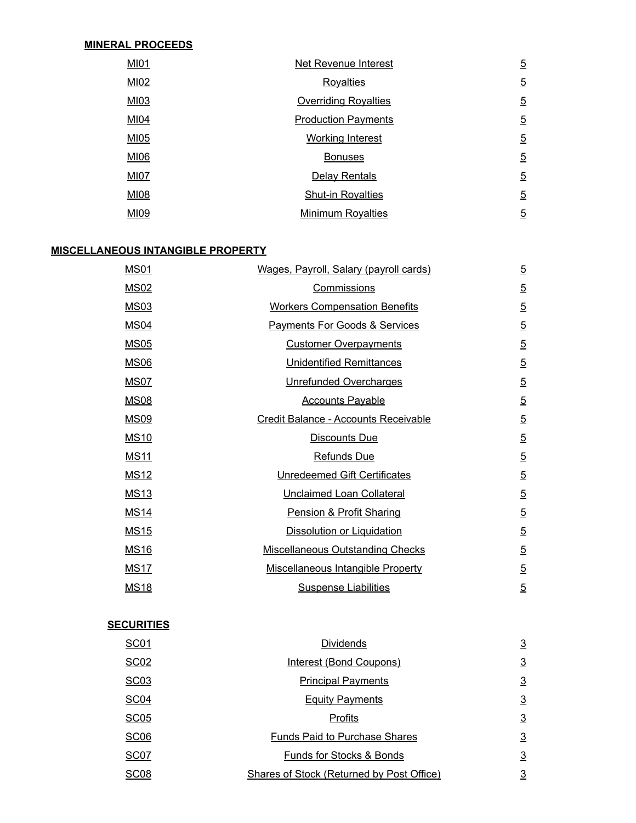#### **MINERAL PROCEEDS**

| <b>MI01</b> | Net Revenue Interest        | $\overline{5}$ |
|-------------|-----------------------------|----------------|
| MI02        | <b>Royalties</b>            | $\overline{5}$ |
| MI03        | <b>Overriding Royalties</b> | $\overline{5}$ |
| M104        | <b>Production Payments</b>  | $\overline{5}$ |
| <b>MI05</b> | <b>Working Interest</b>     | $\overline{5}$ |
| MI06        | <b>Bonuses</b>              | $\overline{5}$ |
| <b>MI07</b> | Delay Rentals               | $\overline{5}$ |
| MI08        | <b>Shut-in Royalties</b>    | $\overline{5}$ |
| MI09        | <b>Minimum Royalties</b>    | $\overline{5}$ |

#### **MISCELLANEOUS INTANGIBLE PROPERTY**

| <b>MS01</b> | Wages, Payroll, Salary (payroll cards)   | $\overline{5}$ |
|-------------|------------------------------------------|----------------|
| <b>MS02</b> | Commissions                              | $\overline{5}$ |
| <b>MS03</b> | <b>Workers Compensation Benefits</b>     | $\overline{5}$ |
| <b>MS04</b> | <b>Payments For Goods &amp; Services</b> | $\overline{5}$ |
| <b>MS05</b> | <b>Customer Overpayments</b>             | $\overline{5}$ |
| <b>MS06</b> | <b>Unidentified Remittances</b>          | $\overline{5}$ |
| <b>MS07</b> | Unrefunded Overcharges                   | $\overline{5}$ |
| <b>MS08</b> | <b>Accounts Payable</b>                  | $\overline{5}$ |
| <b>MS09</b> | Credit Balance - Accounts Receivable     | $\overline{5}$ |
| <b>MS10</b> | Discounts Due                            | $\overline{5}$ |
| <b>MS11</b> | Refunds Due                              | $\overline{5}$ |
| <b>MS12</b> | Unredeemed Gift Certificates             | $\overline{5}$ |
| <b>MS13</b> | Unclaimed Loan Collateral                | $\overline{5}$ |
| <b>MS14</b> | Pension & Profit Sharing                 | $\overline{5}$ |
| <b>MS15</b> | <b>Dissolution or Liquidation</b>        | $\overline{5}$ |
| <b>MS16</b> | <b>Miscellaneous Outstanding Checks</b>  | $\overline{5}$ |
| <b>MS17</b> | <b>Miscellaneous Intangible Property</b> | $\overline{5}$ |
| <b>MS18</b> | <b>Suspense Liabilities</b>              | $\overline{5}$ |

#### **SECURITIES**

| <b>SC01</b>      | <b>Dividends</b>                          | $\overline{3}$ |
|------------------|-------------------------------------------|----------------|
| <b>SC02</b>      | Interest (Bond Coupons)                   | $\overline{3}$ |
| <b>SC03</b>      | <b>Principal Payments</b>                 | $\overline{3}$ |
| <b>SC04</b>      | <b>Equity Payments</b>                    | $\overline{3}$ |
| <b>SC05</b>      | Profits                                   | $\overline{3}$ |
| <b>SC06</b>      | <b>Funds Paid to Purchase Shares</b>      | $\overline{3}$ |
| SC <sub>07</sub> | Funds for Stocks & Bonds                  | $\overline{3}$ |
| SC <sub>08</sub> | Shares of Stock (Returned by Post Office) | $\overline{3}$ |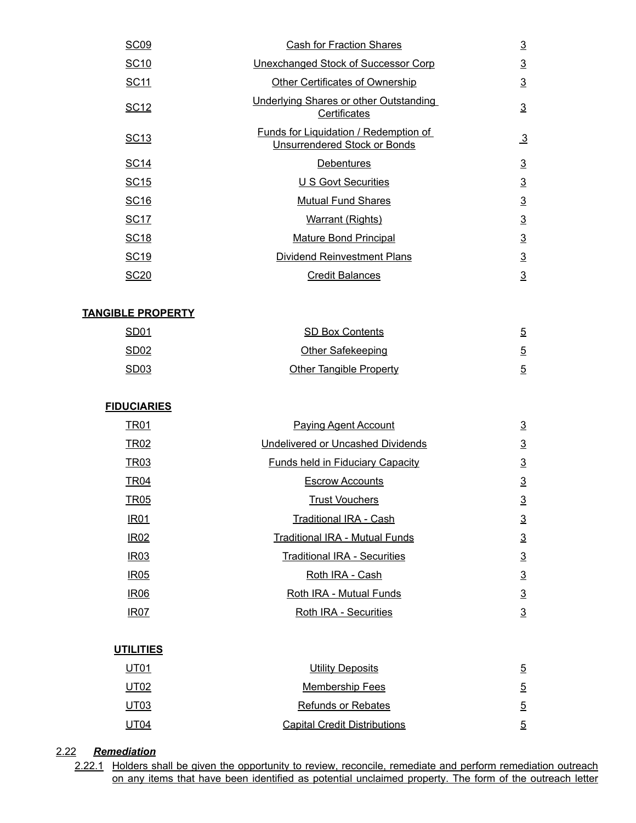| <b>SC09</b>      | <b>Cash for Fraction Shares</b>                                       |                 |  |
|------------------|-----------------------------------------------------------------------|-----------------|--|
| <b>SC10</b>      | Unexchanged Stock of Successor Corp                                   | $\overline{3}$  |  |
| <b>SC11</b>      | Other Certificates of Ownership                                       | $\overline{3}$  |  |
| SC <sub>12</sub> | <b>Underlying Shares or other Outstanding</b><br><b>Certificates</b>  | $\underline{3}$ |  |
| SC <sub>13</sub> | Funds for Liquidation / Redemption of<br>Unsurrendered Stock or Bonds | $\overline{3}$  |  |
| <b>SC14</b>      | <b>Debentures</b>                                                     | $\overline{3}$  |  |
| <b>SC15</b>      | <b>U S Govt Securities</b>                                            | $\overline{3}$  |  |
| <b>SC16</b>      | <b>Mutual Fund Shares</b>                                             | $\overline{3}$  |  |
| <b>SC17</b>      | <b>Warrant (Rights)</b>                                               | $\overline{3}$  |  |
| <b>SC18</b>      | <b>Mature Bond Principal</b>                                          | $\overline{3}$  |  |
| <b>SC19</b>      | <b>Dividend Reinvestment Plans</b>                                    | $\overline{3}$  |  |
| <b>SC20</b>      | <b>Credit Balances</b>                                                | $\overline{3}$  |  |

#### **TANGIBLE PROPERTY**

| <u>SD01</u> | <b>SD Box Contents</b>         | $\overline{5}$ |
|-------------|--------------------------------|----------------|
| <u>SD02</u> | Other Safekeeping              | $\overline{5}$ |
| <u>SD03</u> | <b>Other Tangible Property</b> | 5              |

#### **FIDUCIARIES**

| TR01             | <b>Paying Agent Account</b>             |                 |  |
|------------------|-----------------------------------------|-----------------|--|
| <b>TR02</b>      | Undelivered or Uncashed Dividends       | $\overline{3}$  |  |
| <b>TR03</b>      | <b>Funds held in Fiduciary Capacity</b> | $\overline{3}$  |  |
| <b>TR04</b>      | <b>Escrow Accounts</b>                  | $\overline{3}$  |  |
| <b>TR05</b>      | <b>Trust Vouchers</b>                   | $\underline{3}$ |  |
| <b>IR01</b>      | <b>Traditional IRA - Cash</b>           | $\overline{3}$  |  |
| <b>IR02</b>      | Traditional IRA - Mutual Funds          | $\overline{3}$  |  |
| IR <sub>03</sub> | <b>Traditional IRA - Securities</b>     | $\overline{3}$  |  |
| IR <sub>05</sub> | Roth IRA - Cash                         | $\overline{3}$  |  |
| <b>IR06</b>      | Roth IRA - Mutual Funds                 | $\overline{3}$  |  |
| IR07             | Roth IRA - Securities                   | $\overline{3}$  |  |

### **UTILITIES**

| <u>UT01</u> | Utility Deposits                    | $\overline{5}$ |
|-------------|-------------------------------------|----------------|
| UT02        | <b>Membership Fees</b>              | $\overline{5}$ |
| UT03        | <b>Refunds or Rebates</b>           | 5              |
| UT04        | <b>Capital Credit Distributions</b> | 5              |

### 2.22 *Remediation*

2.22.1 Holders shall be given the opportunity to review, reconcile, remediate and perform remediation outreach on any items that have been identified as potential unclaimed property. The form of the outreach letter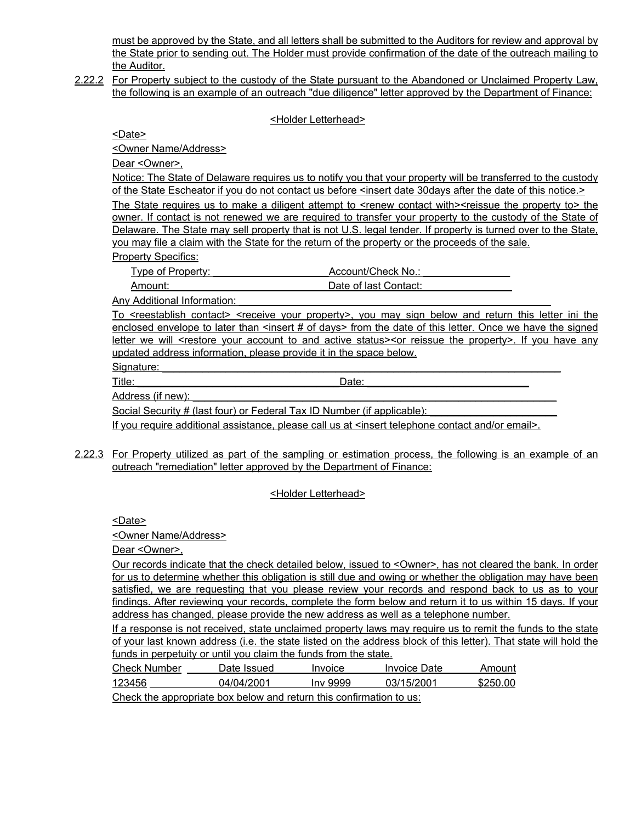must be approved by the State, and all letters shall be submitted to the Auditors for review and approval by the State prior to sending out. The Holder must provide confirmation of the date of the outreach mailing to the Auditor.

2.22.2 For Property subject to the custody of the State pursuant to the Abandoned or Unclaimed Property Law, the following is an example of an outreach "due diligence" letter approved by the Department of Finance:

<Holder Letterhead>

<Date>

<Owner Name/Address>

Dear <Owner>,

Notice: The State of Delaware requires us to notify you that your property will be transferred to the custody of the State Escheator if you do not contact us before <insert date 30days after the date of this notice.>

The State requires us to make a diligent attempt to <renew contact with><reissue the property to> the owner. If contact is not renewed we are required to transfer your property to the custody of the State of Delaware. The State may sell property that is not U.S. legal tender. If property is turned over to the State, you may file a claim with the State for the return of the property or the proceeds of the sale. Property Specifics:

Type of Property: Type of Property: Type of Property:  $\triangle$  Account/Check No.:

Amount: **Amount: Amount: Amount:**  $\overline{a}$ 

Any Additional Information:

To <reestablish contact> <receive your property>, you may sign below and return this letter ini the enclosed envelope to later than <insert # of days> from the date of this letter. Once we have the signed letter we will <restore your account to and active status><or reissue the property>. If you have any updated address information, please provide it in the space below.

Signature:

Title: \_\_\_\_\_\_\_\_\_\_\_\_\_\_\_\_\_\_\_\_\_\_\_\_\_\_\_\_\_\_\_\_\_\_\_Date: \_\_\_\_\_\_\_\_\_\_\_\_\_\_\_\_\_\_\_\_\_\_\_\_\_\_\_\_

Address (if new):

Social Security # (last four) or Federal Tax ID Number (if applicable):

If you require additional assistance, please call us at <insert telephone contact and/or email>.

2.22.3 For Property utilized as part of the sampling or estimation process, the following is an example of an outreach "remediation" letter approved by the Department of Finance:

#### <Holder Letterhead>

<Date>

<Owner Name/Address>

Dear <Owner>,

Our records indicate that the check detailed below, issued to <Owner>, has not cleared the bank. In order for us to determine whether this obligation is still due and owing or whether the obligation may have been satisfied, we are requesting that you please review your records and respond back to us as to your findings. After reviewing your records, complete the form below and return it to us within 15 days. If your address has changed, please provide the new address as well as a telephone number.

If a response is not received, state unclaimed property laws may require us to remit the funds to the state of your last known address (i.e. the state listed on the address block of this letter). That state will hold the funds in perpetuity or until you claim the funds from the state.

| <b>Check Number</b> | Date Issued | <i><b>Invoice</b></i> | Invoice Date | Amount   |
|---------------------|-------------|-----------------------|--------------|----------|
| 123456              | 04/04/2001  | Inv 9999              | 03/15/2001   | \$250.00 |
| ___                 |             |                       |              |          |

Check the appropriate box below and return this confirmation to us: